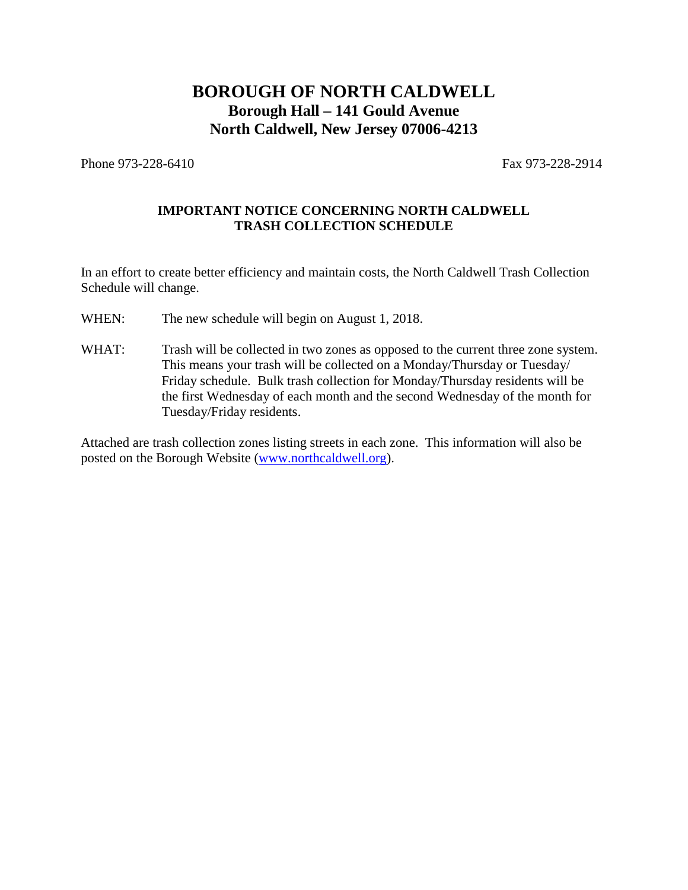# **BOROUGH OF NORTH CALDWELL Borough Hall – 141 Gould Avenue North Caldwell, New Jersey 07006-4213**

Phone 973-228-6410 **Fax 973-228-2914** 

# **IMPORTANT NOTICE CONCERNING NORTH CALDWELL TRASH COLLECTION SCHEDULE**

In an effort to create better efficiency and maintain costs, the North Caldwell Trash Collection Schedule will change.

- WHEN: The new schedule will begin on August 1, 2018.
- WHAT: Trash will be collected in two zones as opposed to the current three zone system. This means your trash will be collected on a Monday/Thursday or Tuesday/ Friday schedule. Bulk trash collection for Monday/Thursday residents will be the first Wednesday of each month and the second Wednesday of the month for Tuesday/Friday residents.

Attached are trash collection zones listing streets in each zone. This information will also be posted on the Borough Website (www.northcaldwell.org).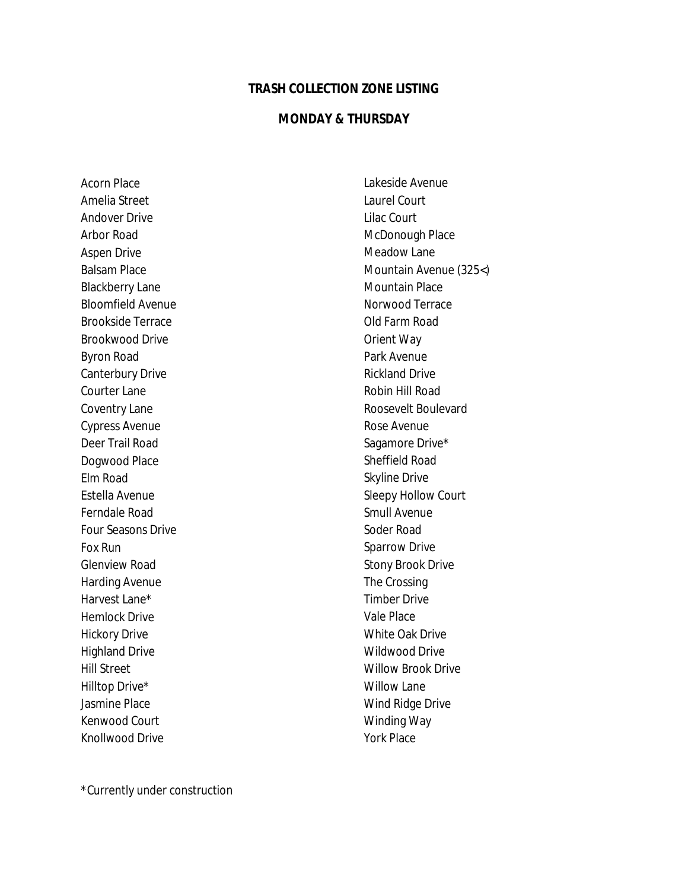# **TRASH COLLECTION ZONE LISTING**

#### **MONDAY & THURSDAY**

Acorn Place Amelia Street Andover Drive Arbor Road Aspen Drive Balsam Place Blackberry Lane Bloomfield Avenue Brookside Terrace Brookwood Drive Byron Road Canterbury Drive Courter Lane Coventry Lane Cypress Avenue Deer Trail Road Dogwood Place Elm Road Estella Avenue Ferndale Road Four Seasons Drive Fox Run Glenview Road Harding Avenue Harvest Lane\* Hemlock Drive Hickory Drive Highland Drive Hill Street Hilltop Drive\* Jasmine Place Kenwood Court Knollwood Drive

Lakeside Avenue Laurel Court Lilac Court McDonough Place Meadow Lane Mountain Avenue (325<) Mountain Place Norwood Terrace Old Farm Road Orient Way Park Avenue Rickland Drive Robin Hill Road Roosevelt Boulevard Rose Avenue Sagamore Drive\* Sheffield Road Skyline Drive Sleepy Hollow Court Smull Avenue Soder Road Sparrow Drive Stony Brook Drive The Crossing Timber Drive Vale Place White Oak Drive Wildwood Drive Willow Brook Drive Willow Lane Wind Ridge Drive Winding Way York Place

\*Currently under construction